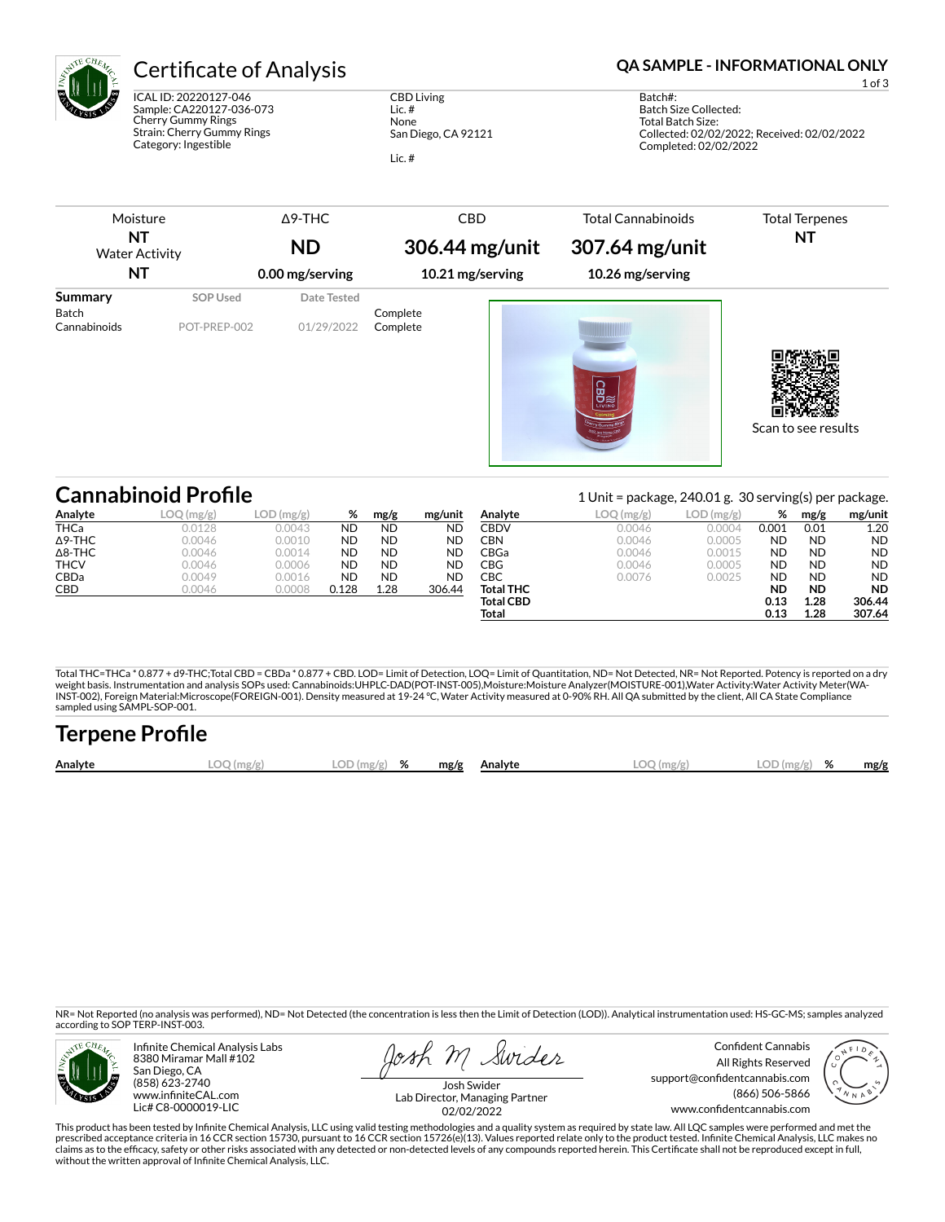

ICAL ID: 20220127-046 Sample: CA220127-036-073 Cherry Gummy Rings Strain: Cherry Gummy Rings Category: Ingestible

CBD Living Lic. # None San Diego, CA 92121 Lic. #

### Certificate of Analysis **Certificate of Analysis QA SAMPLE - INFORMATIONAL ONLY**

1 of 3

Batch#: Batch Size Collected: Total Batch Size: Collected: 02/02/2022; Received: 02/02/2022 Completed: 02/02/2022

| Moisture                    |                 | $\Delta$ 9-THC  | <b>CBD</b>       | <b>Total Cannabinoids</b> | <b>Total Terpenes</b> |
|-----------------------------|-----------------|-----------------|------------------|---------------------------|-----------------------|
| NT<br><b>Water Activity</b> |                 | <b>ND</b>       | 306.44 mg/unit   | 307.64 mg/unit            | NΤ                    |
| NT                          |                 | 0.00 mg/serving | 10.21 mg/serving | 10.26 mg/serving          |                       |
| Summary                     | <b>SOP Used</b> | Date Tested     |                  |                           |                       |
| Batch                       |                 |                 | Complete         |                           |                       |
| Cannabinoids                | POT-PREP-002    | 01/29/2022      | Complete         | <b>CBD</b>                |                       |
|                             |                 |                 |                  |                           | Scan to see results   |

|                | <b>Cannabinoid Profile</b> |              |           | 1 Unit = package, $240.01$ g. 30 serving(s) per package. |           |                  |           |           |           |           |           |
|----------------|----------------------------|--------------|-----------|----------------------------------------------------------|-----------|------------------|-----------|-----------|-----------|-----------|-----------|
| Analyte        | LOO<br>) (mg/g)            | $LOD$ (mg/g) | %         | mg/g                                                     | mg/unit   | Analyte          | LOQ(mg/g) | LOD(mg/g) | %         | mg/g      | mg/unit   |
| <b>THCa</b>    | 0.0128                     | 0.0043       | <b>ND</b> | <b>ND</b>                                                | ND        | CBDV             | 0.0046    | 0.0004    | 0.001     | 0.01      | 1.20      |
| $\Delta$ 9-THC | 0.0046                     | 0.0010       | <b>ND</b> | <b>ND</b>                                                | <b>ND</b> | CBN              | 0.0046    | 0.0005    | <b>ND</b> | <b>ND</b> | <b>ND</b> |
| $\Delta$ 8-THC | 0.0046                     | 0.0014       | <b>ND</b> | <b>ND</b>                                                | <b>ND</b> | CBGa             | 0.0046    | 0.0015    | <b>ND</b> | <b>ND</b> | <b>ND</b> |
| <b>THCV</b>    | 0.0046                     | 0.0006       | <b>ND</b> | <b>ND</b>                                                | <b>ND</b> | CBG              | 0.0046    | 0.0005    | <b>ND</b> | <b>ND</b> | <b>ND</b> |
| <b>CBDa</b>    | 0.0049                     | 0.0016       | <b>ND</b> | <b>ND</b>                                                | ND        | СВС              | 0.0076    | 0.0025    | <b>ND</b> | <b>ND</b> | <b>ND</b> |
| CBD            | 0.0046                     | 0.0008       | 0.128     | 1.28                                                     | 306.44    | <b>Total THC</b> |           |           | <b>ND</b> | <b>ND</b> | <b>ND</b> |
|                |                            |              |           |                                                          |           | <b>Total CBD</b> |           |           | 0.13      | 1.28      | 306.44    |
|                |                            |              |           |                                                          |           | Total            |           |           | 0.13      | 1.28      | 307.64    |

Total THC=THCa \* 0.877 + d9-THC;Total CBD = CBDa \* 0.877 + CBD. LOD= Limit of Detection, LOQ= Limit of Quantitation, ND= Not Detected, NR= Not Reported. Potency is reported on a dry<br>weight basis. Instrumentation and analys INST-002), Foreign Material:Microscope(FOREIGN-001). Density measured at 19-24 °C, Water Activity measured at 0-90% RH. All QA submitted by the client, All CA State Compliance sampled using SAMPL-SOP-001.

| <b>Terpene Profile</b> |              |               |  |              |              |               |      |
|------------------------|--------------|---------------|--|--------------|--------------|---------------|------|
| Analyte                | $LOO$ (mg/g) | $LOD(mg/g)$ % |  | mg/g Analyte | $LOO$ (mg/g) | $LOD(mg/g)$ % | mg/g |

NR= Not Reported (no analysis was performed), ND= Not Detected (the concentration is less then the Limit of Detection (LOD)). Analytical instrumentation used: HS-GC-MS; samples analyzed according to SOP TERP-INST-003.



Infinite Chemical Analysis Labs 8380 Miramar Mall #102 San Diego, CA (858) 623-2740 www.infiniteCAL.com Lic# C8-0000019-LIC

losh M Swider

Confident Cannabis All Rights Reserved support@confidentcannabis.com (866) 506-5866 www.confidentcannabis.com



Josh Swider Lab Director, Managing Partner 02/02/2022

This product has been tested by Infinite Chemical Analysis, LLC using valid testing methodologies and a quality system as required by state law. All LQC samples were performed and met the prescribed acceptance criteria in 16 CCR section 15730, pursuant to 16 CCR section 15726(e)(13). Values reported relate only to the product tested. Infinite Chemical Analysis, LLC makes no<br>claims as to the efficacy, safety without the written approval of Infinite Chemical Analysis, LLC.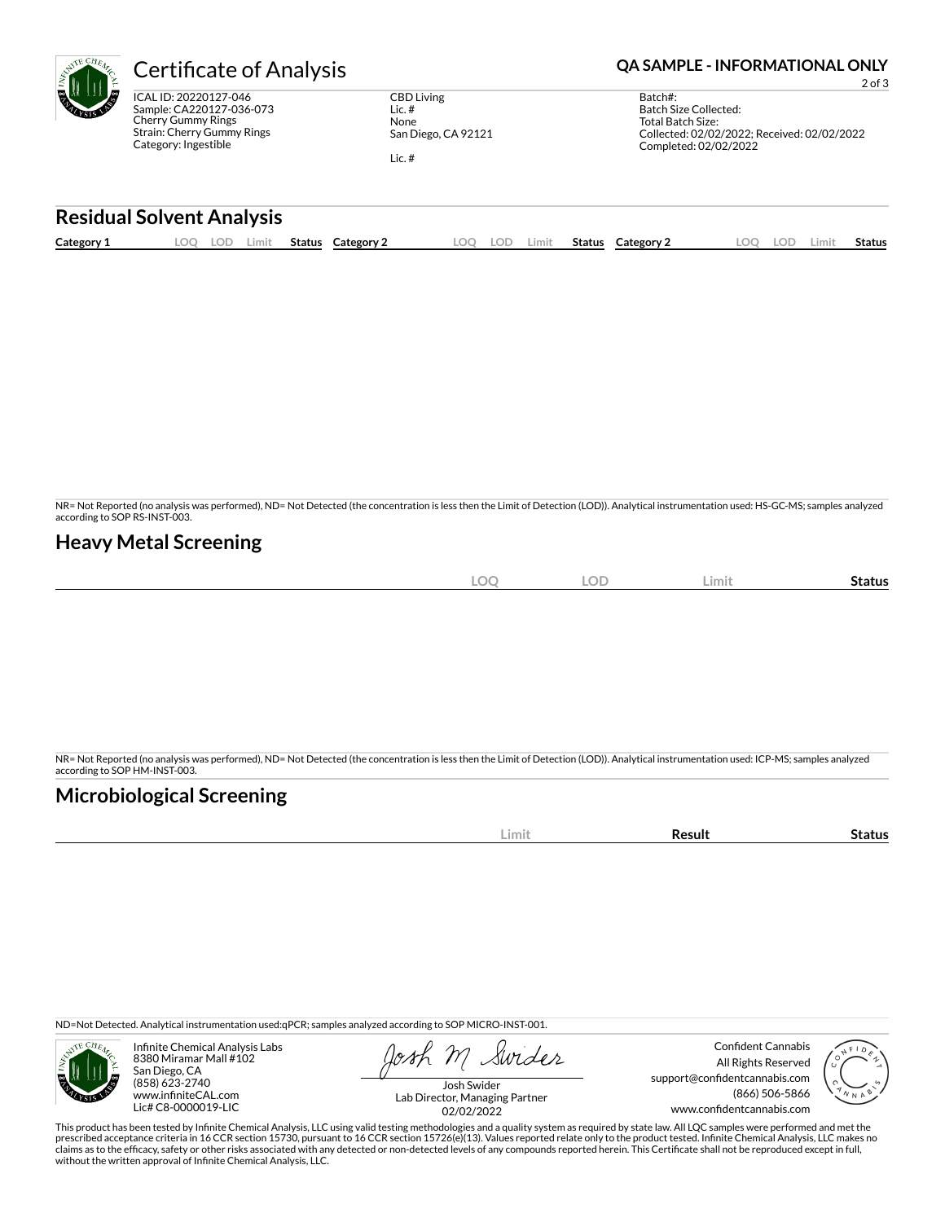

Sample: CA220127-036-073 Strain: Cherry Gummy Rings Category: Ingestible

CBD Living Lic. # None San Diego, CA 92121 Lic. #

# **Certificate of Analysis <b>Certificate of Analysis QA SAMPLE - INFORMATIONAL ONLY**

2 of 3

| Batch#:                                     |
|---------------------------------------------|
| Batch Size Collected:                       |
| Total Batch Size:                           |
| Collected: 02/02/2022; Received: 02/02/2022 |
| Completed: 02/02/2022                       |
|                                             |

#### **Residual Solvent Analysis**

| Category 1 | LOO | LOD | Limit | Status | Category 2 | .OQ | LOD | Limit | Status | <b>Category 2</b> | .00 | LOD. | .imit | Status |
|------------|-----|-----|-------|--------|------------|-----|-----|-------|--------|-------------------|-----|------|-------|--------|
|            |     |     |       |        |            |     |     |       |        |                   |     |      |       |        |

NR= Not Reported (no analysis was performed), ND= Not Detected (the concentration is less then the Limit of Detection (LOD)). Analytical instrumentation used: HS-GC-MS; samples analyzed according to SOP RS-INST-003.

### **Heavy Metal Screening**

| <b>LOC</b> | <b>LOD</b> | Limit | -<br>Status |
|------------|------------|-------|-------------|
|            |            |       |             |

NR= Not Reported (no analysis was performed), ND= Not Detected (the concentration is less then the Limit of Detection (LOD)). Analytical instrumentation used: ICP-MS; samples analyzed according to SOP HM-INST-003.

## **Microbiological Screening**

| . | ш. |
|---|----|
|   |    |

ND=Not Detected. Analytical instrumentation used:qPCR; samples analyzed according to SOP MICRO-INST-001.



Infinite Chemical Analysis Labs 8380 Miramar Mall #102 San Diego, CA (858) 623-2740 www.infiniteCAL.com Lic# C8-0000019-LIC

Swides

Confident Cannabis All Rights Reserved support@confidentcannabis.com (866) 506-5866 www.confidentcannabis.com



Josh Swider Lab Director, Managing Partner 02/02/2022

This product has been tested by Infinite Chemical Analysis, LLC using valid testing methodologies and a quality system as required by state law. All LQC samples were performed and met the prescribed acceptance criteria in 16 CCR section 15730, pursuant to 16 CCR section 15726(e)(13). Values reported relate only to the product tested. Infinite Chemical Analysis, LLC makes no<br>claims as to the efficacy, safety without the written approval of Infinite Chemical Analysis, LLC.